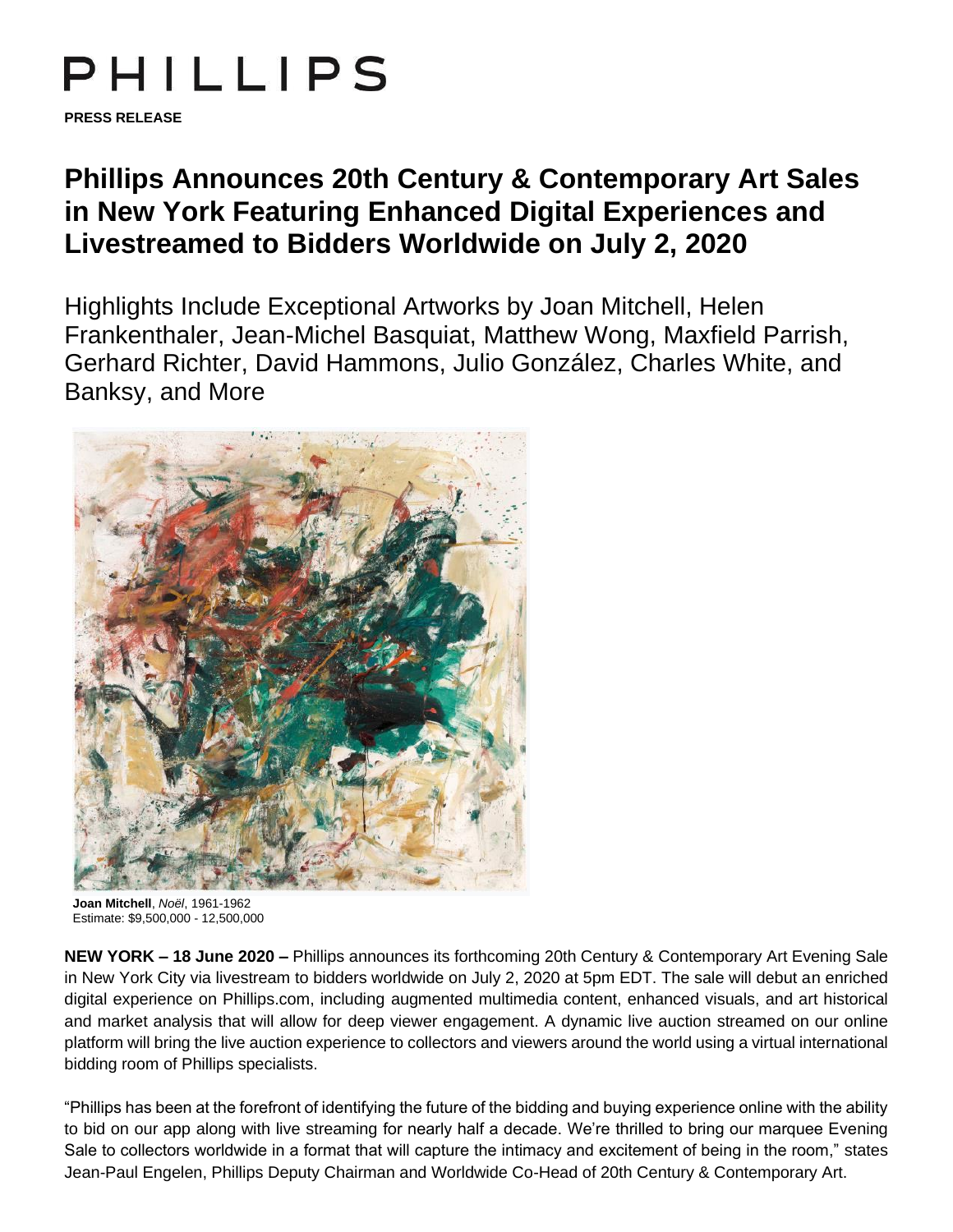# PHILLIPS

**PRESS RELEASE**

# **Phillips Announces 20th Century & Contemporary Art Sales in New York Featuring Enhanced Digital Experiences and Livestreamed to Bidders Worldwide on July 2, 2020**

Highlights Include Exceptional Artworks by Joan Mitchell, Helen Frankenthaler, Jean-Michel Basquiat, Matthew Wong, Maxfield Parrish, Gerhard Richter, David Hammons, Julio González, Charles White, and Banksy, and More



**Joan Mitchell**, *Noël*, 1961-1962 Estimate: \$9,500,000 - 12,500,000

**NEW YORK – 18 June 2020 –** Phillips announces its forthcoming 20th Century & Contemporary Art Evening Sale in New York City via livestream to bidders worldwide on July 2, 2020 at 5pm EDT. The sale will debut an enriched digital experience on Phillips.com, including augmented multimedia content, enhanced visuals, and art historical and market analysis that will allow for deep viewer engagement. A dynamic live auction streamed on our online platform will bring the live auction experience to collectors and viewers around the world using a virtual international bidding room of Phillips specialists.

"Phillips has been at the forefront of identifying the future of the bidding and buying experience online with the ability to bid on our app along with live streaming for nearly half a decade. We're thrilled to bring our marquee Evening Sale to collectors worldwide in a format that will capture the intimacy and excitement of being in the room," states Jean-Paul Engelen, Phillips Deputy Chairman and Worldwide Co-Head of 20th Century & Contemporary Art.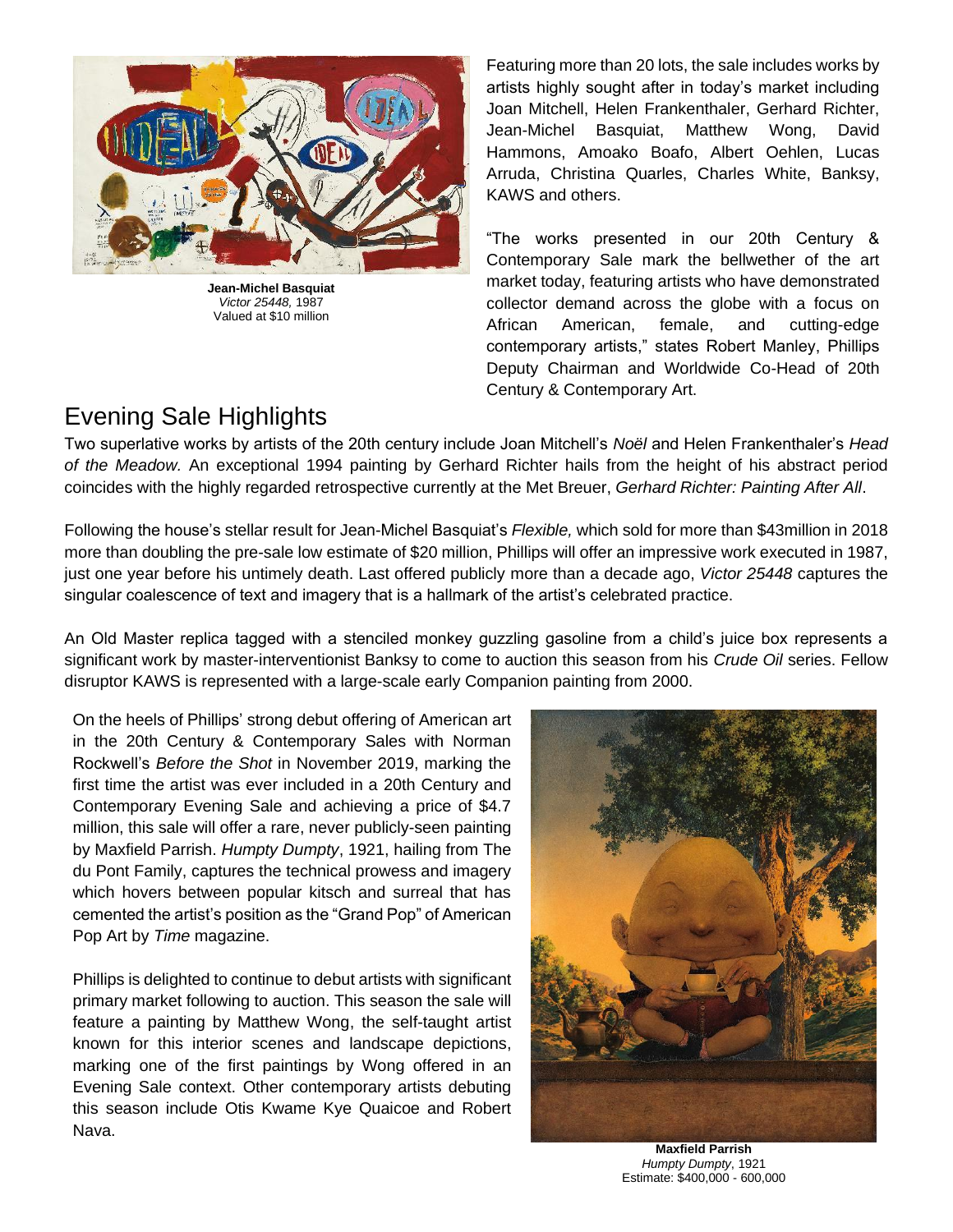

**Jean-Michel Basquiat** *Victor 25448,* 1987 Valued at \$10 million

Featuring more than 20 lots, the sale includes works by artists highly sought after in today's market including Joan Mitchell, Helen Frankenthaler, Gerhard Richter, Jean-Michel Basquiat, Matthew Wong, David Hammons, Amoako Boafo, Albert Oehlen, Lucas Arruda, Christina Quarles, Charles White, Banksy, KAWS and others.

"The works presented in our 20th Century & Contemporary Sale mark the bellwether of the art market today, featuring artists who have demonstrated collector demand across the globe with a focus on African American, female, and cutting-edge contemporary artists," states Robert Manley, Phillips Deputy Chairman and Worldwide Co-Head of 20th Century & Contemporary Art.

# Evening Sale Highlights

Two superlative works by artists of the 20th century include Joan Mitchell's *Noël* and Helen Frankenthaler's *Head of the Meadow.* An exceptional 1994 painting by Gerhard Richter hails from the height of his abstract period coincides with the highly regarded retrospective currently at the Met Breuer, *Gerhard Richter: Painting After All*.

Following the house's stellar result for Jean-Michel Basquiat's *Flexible,* which sold for more than \$43million in 2018 more than doubling the pre-sale low estimate of \$20 million, Phillips will offer an impressive work executed in 1987, just one year before his untimely death. Last offered publicly more than a decade ago, *Victor 25448* captures the singular coalescence of text and imagery that is a hallmark of the artist's celebrated practice.

An Old Master replica tagged with a stenciled monkey guzzling gasoline from a child's juice box represents a significant work by master-interventionist Banksy to come to auction this season from his *Crude Oil* series. Fellow disruptor KAWS is represented with a large-scale early Companion painting from 2000.

On the heels of Phillips' strong debut offering of American art in the 20th Century & Contemporary Sales with Norman Rockwell's *Before the Shot* in November 2019, marking the first time the artist was ever included in a 20th Century and Contemporary Evening Sale and achieving a price of \$4.7 million, this sale will offer a rare, never publicly-seen painting by Maxfield Parrish. *Humpty Dumpty*, 1921, hailing from The du Pont Family, captures the technical prowess and imagery which hovers between popular kitsch and surreal that has cemented the artist's position as the "Grand Pop" of American Pop Art by *Time* magazine.

Phillips is delighted to continue to debut artists with significant primary market following to auction. This season the sale will feature a painting by Matthew Wong, the self-taught artist known for this interior scenes and landscape depictions, marking one of the first paintings by Wong offered in an Evening Sale context. Other contemporary artists debuting this season include Otis Kwame Kye Quaicoe and Robert Nava.



**Maxfield Parrish** *Humpty Dumpty*, 1921 Estimate: \$400,000 - 600,000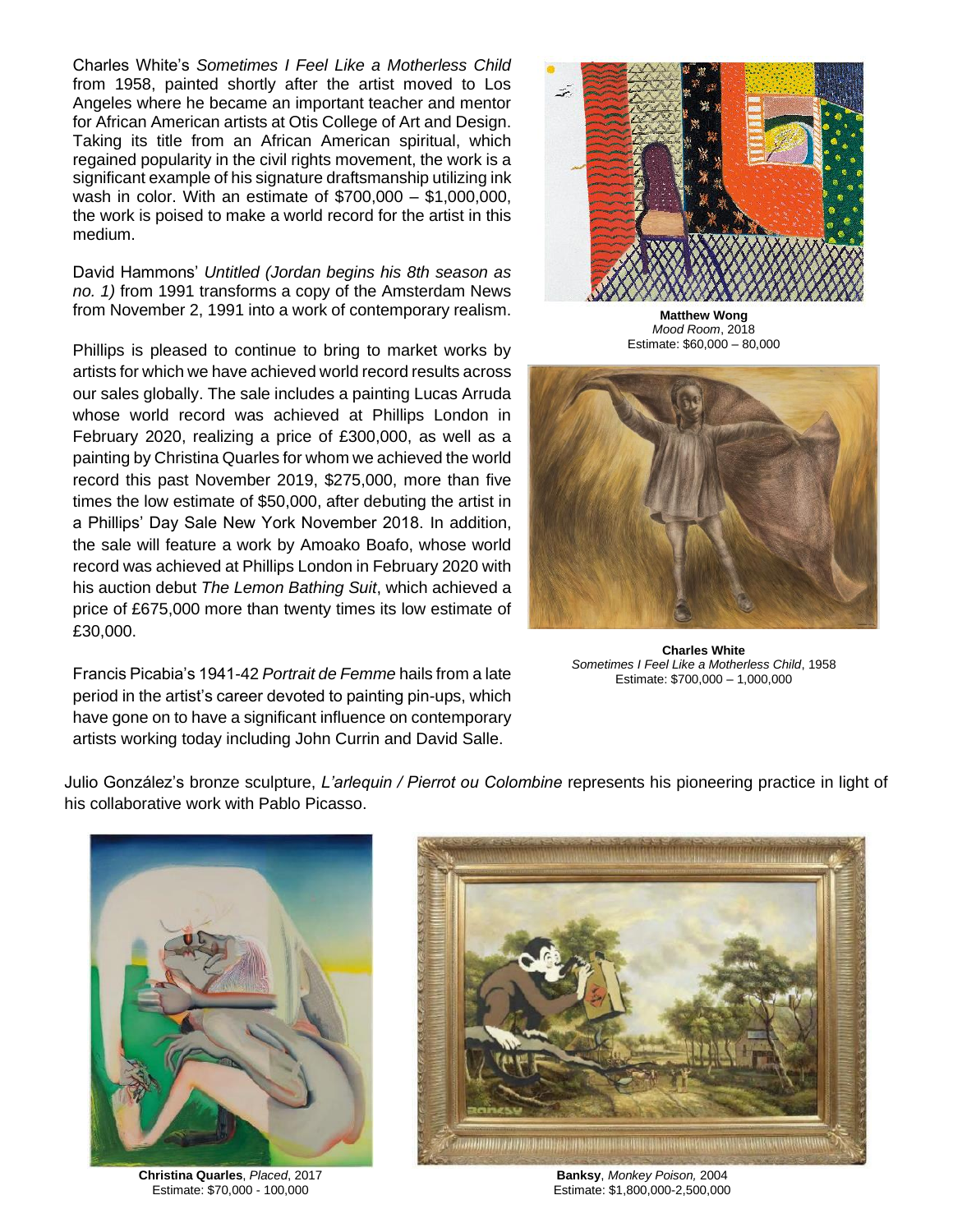Charles White's *Sometimes I Feel Like a Motherless Child* from 1958, painted shortly after the artist moved to Los Angeles where he became an important teacher and mentor for African American artists at Otis College of Art and Design. Taking its title from an African American spiritual, which regained popularity in the civil rights movement, the work is a significant example of his signature draftsmanship utilizing ink wash in color. With an estimate of \$700,000 – \$1,000,000, the work is poised to make a world record for the artist in this medium.

David Hammons' *Untitled (Jordan begins his 8th season as no. 1)* from 1991 transforms a copy of the Amsterdam News from November 2, 1991 into a work of contemporary realism.

Phillips is pleased to continue to bring to market works by artists for which we have achieved world record results across our sales globally. The sale includes a painting Lucas Arruda whose world record was achieved at Phillips London in February 2020, realizing a price of £300,000, as well as a painting by Christina Quarles for whom we achieved the world record this past November 2019, \$275,000, more than five times the low estimate of \$50,000, after debuting the artist in a Phillips' Day Sale New York November 2018. In addition, the sale will feature a work by Amoako Boafo, whose world record was achieved at Phillips London in February 2020 with his auction debut *The Lemon Bathing Suit*, which achieved a price of £675,000 more than twenty times its low estimate of £30,000.

Francis Picabia's 1941-42 *Portrait de Femme* hails from a late period in the artist's career devoted to painting pin-ups, which have gone on to have a significant influence on contemporary artists working today including John Currin and David Salle.



**Matthew Wong** *Mood Room*, 2018 Estimate: \$60,000 – 80,000



**Charles White** *Sometimes I Feel Like a Motherless Child*, 1958 Estimate: \$700,000 – 1,000,000

Julio González's bronze sculpture, *L'arlequin / Pierrot ou Colombine* represents his pioneering practice in light of his collaborative work with Pablo Picasso.



**Christina Quarles**, *Placed*, 2017 Estimate: \$70,000 - 100,000



**Banksy**, *Monkey Poison,* 2004 Estimate: \$1,800,000-2,500,000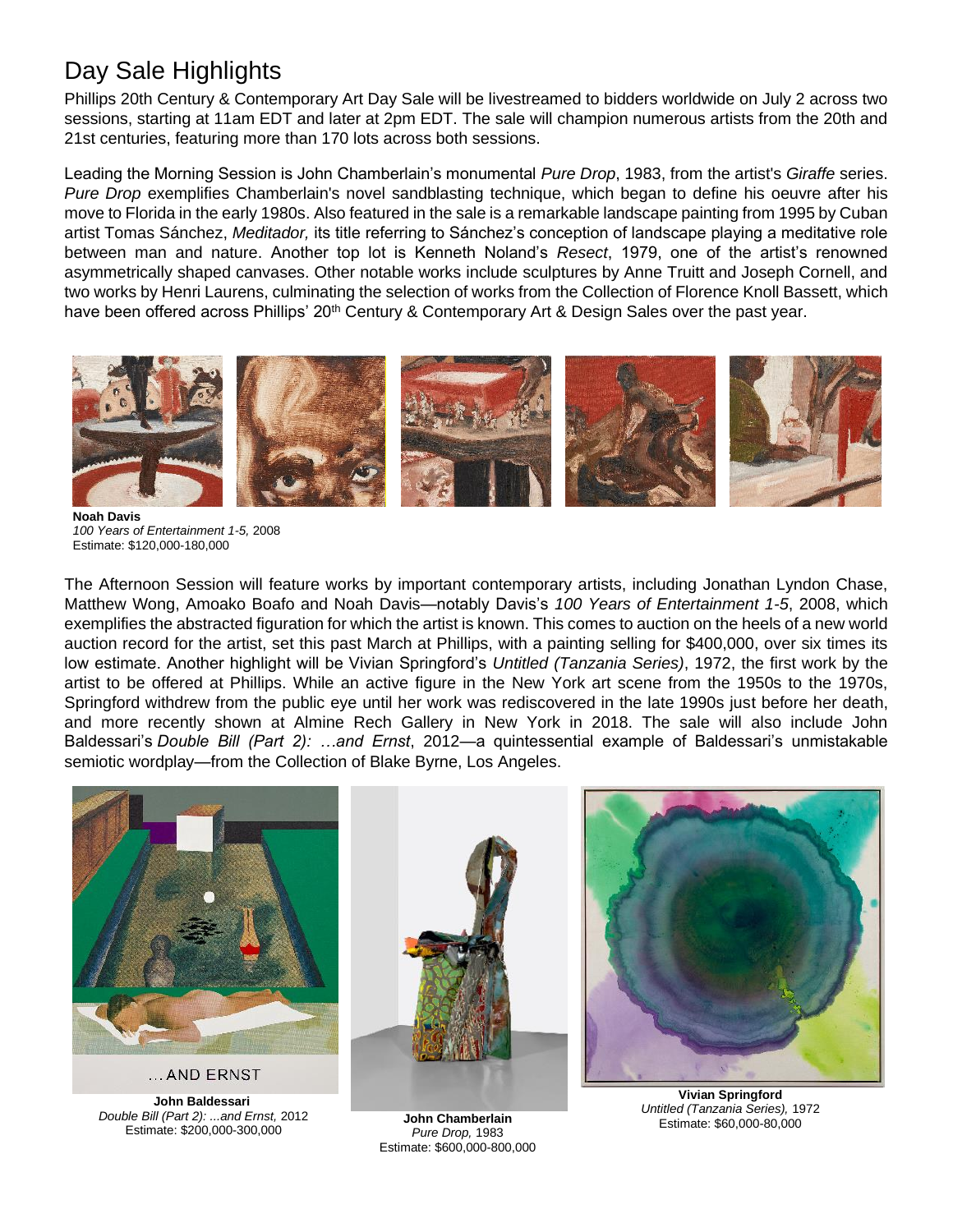# Day Sale Highlights

Phillips 20th Century & Contemporary Art Day Sale will be livestreamed to bidders worldwide on July 2 across two sessions, starting at 11am EDT and later at 2pm EDT. The sale will champion numerous artists from the 20th and 21st centuries, featuring more than 170 lots across both sessions.

Leading the Morning Session is John Chamberlain's monumental *Pure Drop*, 1983, from the artist's *Giraffe* series. *Pure Drop* exemplifies Chamberlain's novel sandblasting technique, which began to define his oeuvre after his move to Florida in the early 1980s. Also featured in the sale is a remarkable landscape painting from 1995 by Cuban artist Tomas Sánchez, *Meditador,* its title referring to Sánchez's conception of landscape playing a meditative role between man and nature. Another top lot is Kenneth Noland's *Resect*, 1979, one of the artist's renowned asymmetrically shaped canvases. Other notable works include sculptures by Anne Truitt and Joseph Cornell, and two works by Henri Laurens, culminating the selection of works from the Collection of Florence Knoll Bassett, which have been offered across Phillips' 20<sup>th</sup> Century & Contemporary Art & Design Sales over the past year.



**Noah Davis** *100 Years of Entertainment 1-5,* 2008 Estimate: \$120,000-180,000

The Afternoon Session will feature works by important contemporary artists, including Jonathan Lyndon Chase, Matthew Wong, Amoako Boafo and Noah Davis—notably Davis's *100 Years of Entertainment 1-5*, 2008, which exemplifies the abstracted figuration for which the artist is known. This comes to auction on the heels of a new world auction record for the artist, set this past March at Phillips, with a painting selling for \$400,000, over six times its low estimate. Another highlight will be Vivian Springford's *Untitled (Tanzania Series)*, 1972, the first work by the artist to be offered at Phillips. While an active figure in the New York art scene from the 1950s to the 1970s, Springford withdrew from the public eye until her work was rediscovered in the late 1990s just before her death, and more recently shown at Almine Rech Gallery in New York in 2018. The sale will also include John Baldessari's *Double Bill (Part 2): …and Ernst*, 2012—a quintessential example of Baldessari's unmistakable semiotic wordplay—from the Collection of Blake Byrne, Los Angeles.



... AND ERNST

**John Baldessari** *Double Bill (Part 2): ...and Ernst,* 2012 Estimate: \$200,000-300,000



**John Chamberlain** *Pure Drop,* 1983 Estimate: \$600,000-800,000



**Vivian Springford** *Untitled (Tanzania Series),* 1972 Estimate: \$60,000-80,000